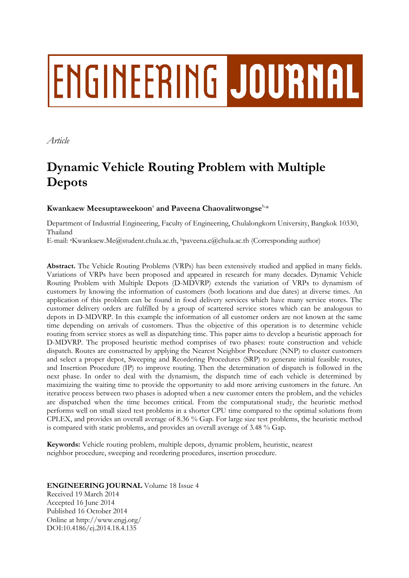# ENGINEERING JOURNAL

*Article*

## **Dynamic Vehicle Routing Problem with Multiple Depots**

### $\boldsymbol{\mathrm{K}}$ wankaew  $\boldsymbol{\mathrm{Mees}}$ uptaweekoon $^{\text{a}}$  and  $\boldsymbol{\mathrm{P}}$ aveena  $\boldsymbol{\mathrm{Ch}}$ aovalitwongse $^{\text{b}_{\gamma\gamma}}$

Department of Industrial Engineering, Faculty of Engineering, Chulalongkorn University, Bangkok 10330, Thailand

E-mail: <sup>a</sup>Kwankaew.Me@student.chula.ac.th, <sup>b</sup>paveena.c@chula.ac.th (Corresponding author)

**Abstract.** The Vehicle Routing Problems (VRPs) has been extensively studied and applied in many fields. Variations of VRPs have been proposed and appeared in research for many decades. Dynamic Vehicle Routing Problem with Multiple Depots (D-MDVRP) extends the variation of VRPs to dynamism of customers by knowing the information of customers (both locations and due dates) at diverse times. An application of this problem can be found in food delivery services which have many service stores. The customer delivery orders are fulfilled by a group of scattered service stores which can be analogous to depots in D-MDVRP. In this example the information of all customer orders are not known at the same time depending on arrivals of customers. Thus the objective of this operation is to determine vehicle routing from service stores as well as dispatching time. This paper aims to develop a heuristic approach for D-MDVRP. The proposed heuristic method comprises of two phases: route construction and vehicle dispatch. Routes are constructed by applying the Nearest Neighbor Procedure (NNP) to cluster customers and select a proper depot, Sweeping and Reordering Procedures (SRP) to generate initial feasible routes, and Insertion Procedure (IP) to improve routing. Then the determination of dispatch is followed in the next phase. In order to deal with the dynamism, the dispatch time of each vehicle is determined by maximizing the waiting time to provide the opportunity to add more arriving customers in the future. An iterative process between two phases is adopted when a new customer enters the problem, and the vehicles are dispatched when the time becomes critical. From the computational study, the heuristic method performs well on small sized test problems in a shorter CPU time compared to the optimal solutions from CPLEX, and provides an overall average of 8.36 % Gap. For large size test problems, the heuristic method is compared with static problems, and provides an overall average of 3.48 % Gap.

**Keywords:** Vehicle routing problem, multiple depots, dynamic problem, heuristic, nearest neighbor procedure, sweeping and reordering procedures, insertion procedure.

#### **ENGINEERING JOURNAL** Volume 18 Issue 4 Received 19 March 2014 Accepted 16 June 2014 Published 16 October 2014 Online at http://www.engj.org/ DOI:10.4186/ej.2014.18.4.135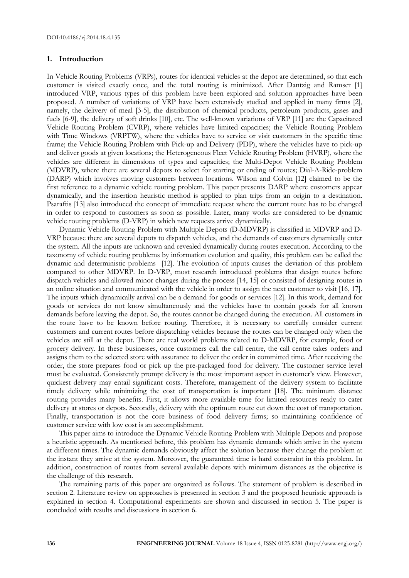#### **1. Introduction**

In Vehicle Routing Problems (VRPs), routes for identical vehicles at the depot are determined, so that each customer is visited exactly once, and the total routing is minimized. After Dantzig and Ramser [1] introduced VRP, various types of this problem have been explored and solution approaches have been proposed. A number of variations of VRP have been extensively studied and applied in many firms [2], namely, the delivery of meal [3-5], the distribution of chemical products, petroleum products, gases and fuels [6-9], the delivery of soft drinks [10], etc. The well-known variations of VRP [11] are the Capacitated Vehicle Routing Problem (CVRP), where vehicles have limited capacities; the Vehicle Routing Problem with Time Windows (VRPTW), where the vehicles have to service or visit customers in the specific time frame; the Vehicle Routing Problem with Pick-up and Delivery (PDP), where the vehicles have to pick-up and deliver goods at given locations; the Heterogeneous Fleet Vehicle Routing Problem (HVRP), where the vehicles are different in dimensions of types and capacities; the Multi-Depot Vehicle Routing Problem (MDVRP), where there are several depots to select for starting or ending of routes; Dial-A-Ride-problem (DARP) which involves moving customers between locations. Wilson and Colvin [12] claimed to be the first reference to a dynamic vehicle routing problem. This paper presents DARP where customers appear dynamically, and the insertion heuristic method is applied to plan trips from an origin to a destination. Psaraftis [13] also introduced the concept of immediate request where the current route has to be changed in order to respond to customers as soon as possible. Later, many works are considered to be dynamic vehicle routing problems (D-VRP) in which new requests arrive dynamically.

Dynamic Vehicle Routing Problem with Multiple Depots (D-MDVRP) is classified in MDVRP and D-VRP because there are several depots to dispatch vehicles, and the demands of customers dynamically enter the system. All the inputs are unknown and revealed dynamically during routes execution. According to the taxonomy of vehicle routing problems by information evolution and quality, this problem can be called the dynamic and deterministic problems [12]. The evolution of inputs causes the deviation of this problem compared to other MDVRP. In D-VRP, most research introduced problems that design routes before dispatch vehicles and allowed minor changes during the process [14, 15] or consisted of designing routes in an online situation and communicated with the vehicle in order to assign the next customer to visit [16, 17]. The inputs which dynamically arrival can be a demand for goods or services [12]. In this work, demand for goods or services do not know simultaneously and the vehicles have to contain goods for all known demands before leaving the depot. So, the routes cannot be changed during the execution. All customers in the route have to be known before routing. Therefore, it is necessary to carefully consider current customers and current routes before dispatching vehicles because the routes can be changed only when the vehicles are still at the depot. There are real world problems related to D-MDVRP, for example, food or grocery delivery. In these businesses, once customers call the call centre, the call centre takes orders and assigns them to the selected store with assurance to deliver the order in committed time. After receiving the order, the store prepares food or pick up the pre-packaged food for delivery. The customer service level must be evaluated. Consistently prompt delivery is the most important aspect in customer's view. However, quickest delivery may entail significant costs. Therefore, management of the delivery system to facilitate timely delivery while minimizing the cost of transportation is important [18]. The minimum distance routing provides many benefits. First, it allows more available time for limited resources ready to cater delivery at stores or depots. Secondly, delivery with the optimum route cut down the cost of transportation. Finally, transportation is not the core business of food delivery firms; so maintaining confidence of customer service with low cost is an accomplishment.

This paper aims to introduce the Dynamic Vehicle Routing Problem with Multiple Depots and propose a heuristic approach. As mentioned before, this problem has dynamic demands which arrive in the system at different times. The dynamic demands obviously affect the solution because they change the problem at the instant they arrive at the system. Moreover, the guaranteed time is hard constraint in this problem. In addition, construction of routes from several available depots with minimum distances as the objective is the challenge of this research.

The remaining parts of this paper are organized as follows. The statement of problem is described in section 2. Literature review on approaches is presented in section 3 and the proposed heuristic approach is explained in section 4. Computational experiments are shown and discussed in section 5. The paper is concluded with results and discussions in section 6.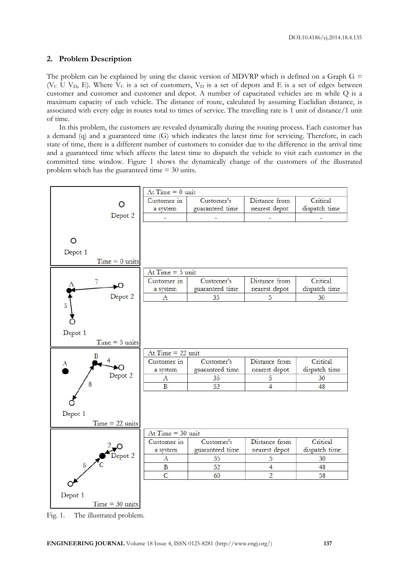#### **2. Problem Description**

The problem can be explained by using the classic version of MDVRP which is defined on a Graph  $G =$ (V<sub>C</sub> U V<sub>D</sub>, E). Where V<sub>C</sub> is a set of customers, V<sub>D</sub> is a set of depots and E is a set of edges between customer and customer and customer and depot. A number of capacitated vehicles are m while Q is a maximum capacity of each vehicle. The distance of route, calculated by assuming Euclidian distance, is associated with every edge in routes total to times of service. The travelling rate is 1 unit of distance/1 unit of time.

In this problem, the customers are revealed dynamically during the routing process. Each customer has a demand (q) and a guaranteed time (G) which indicates the latest time for servicing. Therefore, in each state of time, there is a different number of customers to consider due to the difference in the arrival time and a guaranteed time which affects the latest time to dispatch the vehicle to visit each customer in the committed time window. Figure 1 shows the dynamically change of the customers of the illustrated problem which has the guaranteed time = 30 units.

|                           | At Time $= 0$ unit  |                 |                |               |  |
|---------------------------|---------------------|-----------------|----------------|---------------|--|
|                           | Customer in         | Customer's      | Distance from  | Critical      |  |
| O                         | a system            | guaranteed time | nearest depot  | dispatch time |  |
| Depot 2                   |                     |                 |                |               |  |
|                           |                     |                 |                |               |  |
|                           |                     |                 |                |               |  |
| O                         |                     |                 |                |               |  |
| Depot 1                   |                     |                 |                |               |  |
| $Time = 0 units$          |                     |                 |                |               |  |
|                           | At Time $=$ 5 unit  |                 |                |               |  |
| 7<br>$\mathbf{A}$         | Customer in         | Customer's      | Distance from  | Critical      |  |
| ⊷                         | a system            | guaranteed time | nearest depot  | dispatch time |  |
| Depot 2                   | $\mathbf{A}$        | 35              | 5              | 30            |  |
| 5                         |                     |                 |                |               |  |
|                           |                     |                 |                |               |  |
|                           |                     |                 |                |               |  |
| Depot 1                   |                     |                 |                |               |  |
| $Time = 5 units$          |                     |                 |                |               |  |
|                           | At Time $= 22$ unit |                 |                |               |  |
|                           | Customer in         | Customer's      | Distance from  | Critical      |  |
| $\boldsymbol{A}$          | a system            | guaranteed time | nearest depot  | dispatch time |  |
| Depot 2                   | $\mathbf{A}$        | 35              | 5              | 30            |  |
| 8                         | $\mathbf B$         | 52              | $\overline{4}$ | 48            |  |
|                           |                     |                 |                |               |  |
|                           |                     |                 |                |               |  |
|                           |                     |                 |                |               |  |
| Depot 1                   |                     |                 |                |               |  |
| $Time = 22 \text{ units}$ |                     |                 |                |               |  |
|                           | At Time $=$ 30 unit |                 |                |               |  |
|                           | Customer in         | Customer's      | Distance from  | Critical      |  |
| Depot 2                   | a system            | guaranteed time | nearest depot  | dispatch time |  |
| 6)                        | $\mathbf{A}$        | 35              | 5              | 30            |  |
|                           | $\mathbf{B}$        | 52              | $\overline{4}$ | 48            |  |
|                           | $\overline{C}$      | 60              | $\overline{2}$ | 58            |  |
|                           |                     |                 |                |               |  |
| Depot 1                   |                     |                 |                |               |  |
| $Time = 30 units$         |                     |                 |                |               |  |

Fig. 1. The illustrated problem.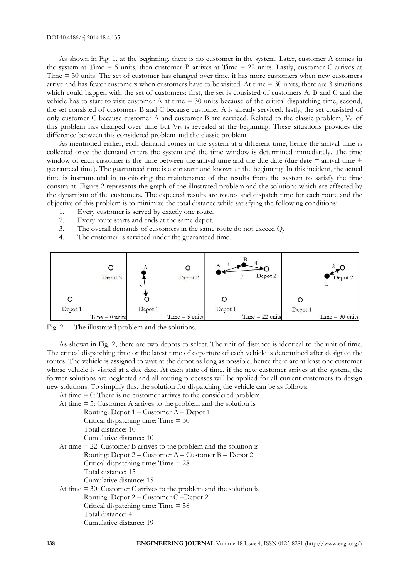#### DOI:10.4186/ej.2014.18.4.135

As shown in Fig. 1, at the beginning, there is no customer in the system. Later, customer A comes in the system at Time = 5 units, then customer B arrives at Time = 22 units. Lastly, customer C arrives at Time = 30 units. The set of customer has changed over time, it has more customers when new customers arrive and has fewer customers when customers have to be visited. At time  $=$  30 units, there are 3 situations which could happen with the set of customers: first, the set is consisted of customers A, B and C and the vehicle has to start to visit customer A at time = 30 units because of the critical dispatching time, second, the set consisted of customers B and C because customer A is already serviced, lastly, the set consisted of only customer C because customer A and customer B are serviced. Related to the classic problem,  $V_C$  of this problem has changed over time but  $V<sub>D</sub>$  is revealed at the beginning. These situations provides the difference between this considered problem and the classic problem.

As mentioned earlier, each demand comes in the system at a different time, hence the arrival time is collected once the demand enters the system and the time window is determined immediately. The time window of each customer is the time between the arrival time and the due date (due date  $=$  arrival time  $+$ guaranteed time). The guaranteed time is a constant and known at the beginning. In this incident, the actual time is instrumental in monitoring the maintenance of the results from the system to satisfy the time constraint. Figure 2 represents the graph of the illustrated problem and the solutions which are affected by the dynamism of the customers. The expected results are routes and dispatch time for each route and the objective of this problem is to minimize the total distance while satisfying the following conditions:

- 1. Every customer is served by exactly one route.
- 2. Every route starts and ends at the same depot.
- 3. The overall demands of customers in the same route do not exceed Q.
- 4. The customer is serviced under the guaranteed time.



Fig. 2. The illustrated problem and the solutions.

As shown in Fig. 2, there are two depots to select. The unit of distance is identical to the unit of time. The critical dispatching time or the latest time of departure of each vehicle is determined after designed the routes. The vehicle is assigned to wait at the depot as long as possible, hence there are at least one customer whose vehicle is visited at a due date. At each state of time, if the new customer arrives at the system, the former solutions are neglected and all routing processes will be applied for all current customers to design new solutions. To simplify this, the solution for dispatching the vehicle can be as follows:

At time  $= 0$ : There is no customer arrives to the considered problem.

```
At time = 5: Customer A arrives to the problem and the solution is
        Routing: Depot 1 – Customer A – Depot 1
        Critical dispatching time: Time = 30
        Total distance: 10
        Cumulative distance: 10
At time = 22: Customer B arrives to the problem and the solution is
        Routing: Depot 2 – Customer A – Customer B – Depot 2
        Critical dispatching time: Time = 28
        Total distance: 15
        Cumulative distance: 15
At time = 30: Customer C arrives to the problem and the solution is
        Routing: Depot 2 – Customer C –Depot 2
        Critical dispatching time: Time = 58
        Total distance: 4
        Cumulative distance: 19
```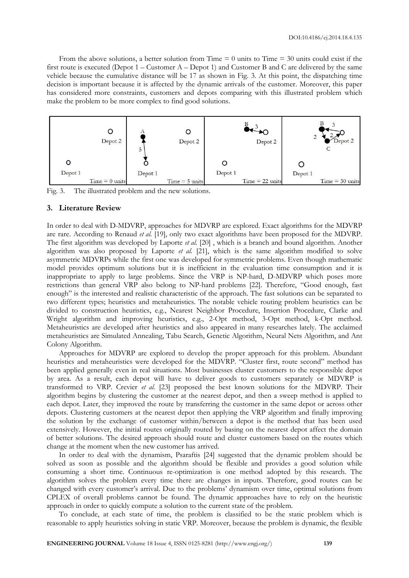From the above solutions, a better solution from Time  $= 0$  units to Time  $= 30$  units could exist if the first route is executed (Depot 1 – Customer A – Depot 1) and Customer B and C are delivered by the same vehicle because the cumulative distance will be 17 as shown in Fig. 3. At this point, the dispatching time decision is important because it is affected by the dynamic arrivals of the customer. Moreover, this paper has considered more constraints, customers and depots comparing with this illustrated problem which make the problem to be more complex to find good solutions.



Fig. 3. The illustrated problem and the new solutions.

#### **3. Literature Review**

In order to deal with D-MDVRP, approaches for MDVRP are explored. Exact algorithms for the MDVRP are rare. According to Renaud *et al.* [19], only two exact algorithms have been proposed for the MDVRP. The first algorithm was developed by Laporte *et al.* [20] , which is a branch and bound algorithm. Another algorithm was also proposed by Laporte *et al.* [21], which is the same algorithm modified to solve asymmetric MDVRPs while the first one was developed for symmetric problems. Even though mathematic model provides optimum solutions but it is inefficient in the evaluation time consumption and it is inappropriate to apply to large problems. Since the VRP is NP-hard, D-MDVRP which poses more restrictions than general VRP also belong to NP-hard problems [22]. Therefore, "Good enough, fast enough" is the interested and realistic characteristic of the approach. The fast solutions can be separated to two different types; heuristics and metaheuristics. The notable vehicle routing problem heuristics can be divided to construction heuristics, e.g., Nearest Neighbor Procedure, Insertion Procedure, Clarke and Wright algorithm and improving heuristics, e.g., 2-Opt method, 3-Opt method, k-Opt method. Metaheuristics are developed after heuristics and also appeared in many researches lately. The acclaimed metaheuristics are Simulated Annealing, Tabu Search, Genetic Algorithm, Neural Nets Algorithm, and Ant Colony Algorithm.

Approaches for MDVRP are explored to develop the proper approach for this problem. Abundant heuristics and metaheuristics were developed for the MDVRP. "Cluster first, route second" method has been applied generally even in real situations. Most businesses cluster customers to the responsible depot by area. As a result, each depot will have to deliver goods to customers separately or MDVRP is transformed to VRP. Crevier *et al.* [23] proposed the best known solutions for the MDVRP. Their algorithm begins by clustering the customer at the nearest depot, and then a sweep method is applied to each depot. Later, they improved the route by transferring the customer in the same depot or across other depots. Clustering customers at the nearest depot then applying the VRP algorithm and finally improving the solution by the exchange of customer within/between a depot is the method that has been used extensively. However, the initial routes originally routed by basing on the nearest depot affect the domain of better solutions. The desired approach should route and cluster customers based on the routes which change at the moment when the new customer has arrived.

In order to deal with the dynamism, Psaraftis [24] suggested that the dynamic problem should be solved as soon as possible and the algorithm should be flexible and provides a good solution while consuming a short time. Continuous re-optimization is one method adopted by this research. The algorithm solves the problem every time there are changes in inputs. Therefore, good routes can be changed with every customer's arrival. Due to the problems' dynamism over time, optimal solutions from CPLEX of overall problems cannot be found. The dynamic approaches have to rely on the heuristic approach in order to quickly compute a solution to the current state of the problem.

To conclude, at each state of time, the problem is classified to be the static problem which is reasonable to apply heuristics solving in static VRP. Moreover, because the problem is dynamic, the flexible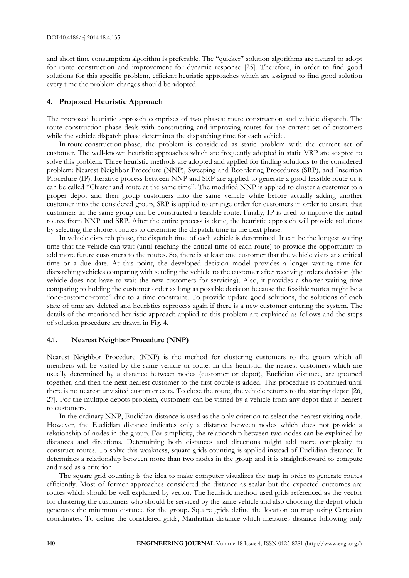and short time consumption algorithm is preferable. The "quicker" solution algorithms are natural to adopt for route construction and improvement for dynamic response [25]. Therefore, in order to find good solutions for this specific problem, efficient heuristic approaches which are assigned to find good solution every time the problem changes should be adopted.

#### **4. Proposed Heuristic Approach**

The proposed heuristic approach comprises of two phases: route construction and vehicle dispatch. The route construction phase deals with constructing and improving routes for the current set of customers while the vehicle dispatch phase determines the dispatching time for each vehicle.

In route construction phase, the problem is considered as static problem with the current set of customer. The well-known heuristic approaches which are frequently adopted in static VRP are adapted to solve this problem. Three heuristic methods are adopted and applied for finding solutions to the considered problem: Nearest Neighbor Procedure (NNP), Sweeping and Reordering Procedures (SRP), and Insertion Procedure (IP). Iterative process between NNP and SRP are applied to generate a good feasible route or it can be called "Cluster and route at the same time". The modified NNP is applied to cluster a customer to a proper depot and then group customers into the same vehicle while before actually adding another customer into the considered group, SRP is applied to arrange order for customers in order to ensure that customers in the same group can be constructed a feasible route. Finally, IP is used to improve the initial routes from NNP and SRP. After the entire process is done, the heuristic approach will provide solutions by selecting the shortest routes to determine the dispatch time in the next phase.

In vehicle dispatch phase, the dispatch time of each vehicle is determined. It can be the longest waiting time that the vehicle can wait (until reaching the critical time of each route) to provide the opportunity to add more future customers to the routes. So, there is at least one customer that the vehicle visits at a critical time or a due date. At this point, the developed decision model provides a longer waiting time for dispatching vehicles comparing with sending the vehicle to the customer after receiving orders decision (the vehicle does not have to wait the new customers for servicing). Also, it provides a shorter waiting time comparing to holding the customer order as long as possible decision because the feasible routes might be a "one-customer-route" due to a time constraint. To provide update good solutions, the solutions of each state of time are deleted and heuristics reprocess again if there is a new customer entering the system. The details of the mentioned heuristic approach applied to this problem are explained as follows and the steps of solution procedure are drawn in Fig. 4.

#### **4.1. Nearest Neighbor Procedure (NNP)**

Nearest Neighbor Procedure (NNP) is the method for clustering customers to the group which all members will be visited by the same vehicle or route. In this heuristic, the nearest customers which are usually determined by a distance between nodes (customer or depot), Euclidian distance, are grouped together, and then the next nearest customer to the first couple is added. This procedure is continued until there is no nearest unvisited customer exits. To close the route, the vehicle returns to the starting depot [26, 27]. For the multiple depots problem, customers can be visited by a vehicle from any depot that is nearest to customers.

In the ordinary NNP, Euclidian distance is used as the only criterion to select the nearest visiting node. However, the Euclidian distance indicates only a distance between nodes which does not provide a relationship of nodes in the group. For simplicity, the relationship between two nodes can be explained by distances and directions. Determining both distances and directions might add more complexity to construct routes. To solve this weakness, square grids counting is applied instead of Euclidian distance. It determines a relationship between more than two nodes in the group and it is straightforward to compute and used as a criterion.

The square grid counting is the idea to make computer visualizes the map in order to generate routes efficiently. Most of former approaches considered the distance as scalar but the expected outcomes are routes which should be well explained by vector. The heuristic method used grids referenced as the vector for clustering the customers who should be serviced by the same vehicle and also choosing the depot which generates the minimum distance for the group. Square grids define the location on map using Cartesian coordinates. To define the considered grids, Manhattan distance which measures distance following only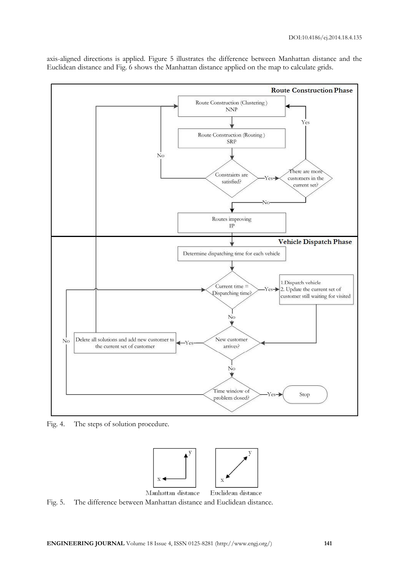



Fig. 4. The steps of solution procedure.



Fig. 5. The difference between Manhattan distance and Euclidean distance.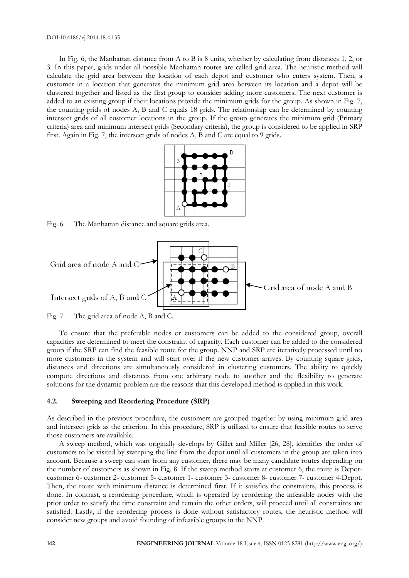In Fig. 6, the Manhattan distance from A to B is 8 units, whether by calculating from distances 1, 2, or 3. In this paper, grids under all possible Manhattan routes are called grid area. The heuristic method will calculate the grid area between the location of each depot and customer who enters system. Then, a customer in a location that generates the minimum grid area between its location and a depot will be clustered together and listed as the first group to consider adding more customers. The next customer is added to an existing group if their locations provide the minimum grids for the group. As shown in Fig. 7, the counting grids of nodes A, B and C equals 18 grids. The relationship can be determined by counting intersect grids of all customer locations in the group. If the group generates the minimum grid (Primary criteria) area and minimum intersect grids (Secondary criteria), the group is considered to be applied in SRP first. Again in Fig. 7, the intersect grids of nodes A, B and C are equal to 9 grids.



Fig. 6. The Manhattan distance and square grids area.



Fig. 7. The grid area of node A, B and C.

To ensure that the preferable nodes or customers can be added to the considered group, overall capacities are determined to meet the constraint of capacity. Each customer can be added to the considered group if the SRP can find the feasible route for the group. NNP and SRP are iteratively processed until no more customers in the system and will start over if the new customer arrives. By counting square grids, distances and directions are simultaneously considered in clustering customers. The ability to quickly compute directions and distances from one arbitrary node to another and the flexibility to generate solutions for the dynamic problem are the reasons that this developed method is applied in this work.

#### **4.2. Sweeping and Reordering Procedure (SRP)**

As described in the previous procedure, the customers are grouped together by using minimum grid area and intersect grids as the criterion. In this procedure, SRP is utilized to ensure that feasible routes to serve those customers are available.

A sweep method, which was originally develops by Gillet and Miller [26, 28], identifies the order of customers to be visited by sweeping the line from the depot until all customers in the group are taken into account. Because a sweep can start from any customer, there may be many candidate routes depending on the number of customers as shown in Fig. 8. If the sweep method starts at customer 6, the route is Depotcustomer 6- customer 2- customer 5- customer 1- customer 3- customer 8- customer 7- customer 4-Depot. Then, the route with minimum distance is determined first. If it satisfies the constraints, this process is done. In contrast, a reordering procedure, which is operated by reordering the infeasible nodes with the prior order to satisfy the time constraint and remain the other orders, will proceed until all constraints are satisfied. Lastly, if the reordering process is done without satisfactory routes, the heuristic method will consider new groups and avoid founding of infeasible groups in the NNP.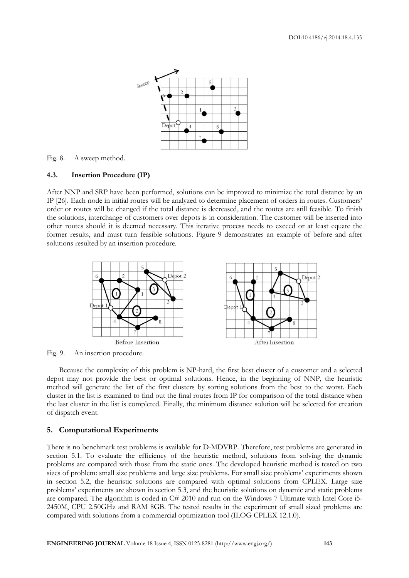

Fig. 8. A sweep method.

#### **4.3. Insertion Procedure (IP)**

After NNP and SRP have been performed, solutions can be improved to minimize the total distance by an IP [26]. Each node in initial routes will be analyzed to determine placement of orders in routes. Customers' order or routes will be changed if the total distance is decreased, and the routes are still feasible. To finish the solutions, interchange of customers over depots is in consideration. The customer will be inserted into other routes should it is deemed necessary. This iterative process needs to exceed or at least equate the former results, and must turn feasible solutions. Figure 9 demonstrates an example of before and after solutions resulted by an insertion procedure.



Fig. 9. An insertion procedure.

Because the complexity of this problem is NP-hard, the first best cluster of a customer and a selected depot may not provide the best or optimal solutions. Hence, in the beginning of NNP, the heuristic method will generate the list of the first clusters by sorting solutions from the best to the worst. Each cluster in the list is examined to find out the final routes from IP for comparison of the total distance when the last cluster in the list is completed. Finally, the minimum distance solution will be selected for creation of dispatch event.

#### **5. Computational Experiments**

There is no benchmark test problems is available for D-MDVRP. Therefore, test problems are generated in section 5.1. To evaluate the efficiency of the heuristic method, solutions from solving the dynamic problems are compared with those from the static ones. The developed heuristic method is tested on two sizes of problem: small size problems and large size problems. For small size problems' experiments shown in section 5.2, the heuristic solutions are compared with optimal solutions from CPLEX. Large size problems' experiments are shown in section 5.3, and the heuristic solutions on dynamic and static problems are compared. The algorithm is coded in C# 2010 and run on the Windows 7 Ultimate with Intel Core i5-2450M, CPU 2.50GHz and RAM 8GB. The tested results in the experiment of small sized problems are compared with solutions from a commercial optimization tool (ILOG CPLEX 12.1.0).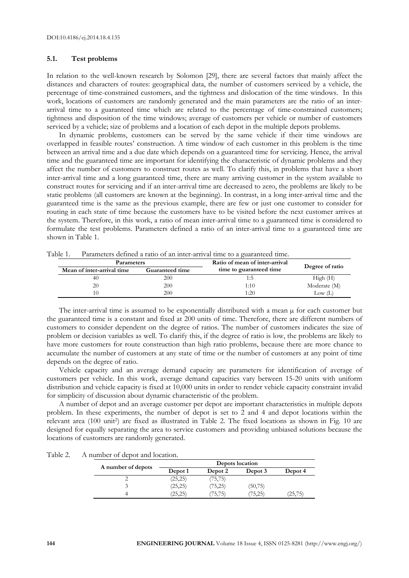#### **5.1. Test problems**

In relation to the well-known research by Solomon [29], there are several factors that mainly affect the distances and characters of routes: geographical data, the number of customers serviced by a vehicle, the percentage of time-constrained customers, and the tightness and dislocation of the time windows. In this work, locations of customers are randomly generated and the main parameters are the ratio of an interarrival time to a guaranteed time which are related to the percentage of time-constrained customers; tightness and disposition of the time windows; average of customers per vehicle or number of customers serviced by a vehicle; size of problems and a location of each depot in the multiple depots problems.

In dynamic problems, customers can be served by the same vehicle if their time windows are overlapped in feasible routes' construction. A time window of each customer in this problem is the time between an arrival time and a due date which depends on a guaranteed time for servicing. Hence, the arrival time and the guaranteed time are important for identifying the characteristic of dynamic problems and they affect the number of customers to construct routes as well. To clarify this, in problems that have a short inter-arrival time and a long guaranteed time, there are many arriving customer in the system available to construct routes for servicing and if an inter-arrival time are decreased to zero, the problems are likely to be static problems (all customers are known at the beginning). In contrast, in a long inter-arrival time and the guaranteed time is the same as the previous example, there are few or just one customer to consider for routing in each state of time because the customers have to be visited before the next customer arrives at the system. Therefore, in this work, a ratio of mean inter-arrival time to a guaranteed time is considered to formulate the test problems. Parameters defined a ratio of an inter-arrival time to a guaranteed time are shown in Table 1.

| <b>Parameters</b>          |                 | Ratio of mean of inter-arrival | Degree of ratio |  |
|----------------------------|-----------------|--------------------------------|-----------------|--|
| Mean of inter-arrival time | Guaranteed time |                                |                 |  |
| 40                         | 200             | L:5                            | High(H)         |  |
| 20                         | 200             | 1:10                           | Moderate (M)    |  |
| 10                         | 200             | 1:20                           | Low(L)          |  |

Table 1. Parameters defined a ratio of an inter-arrival time to a guaranteed time.

The inter-arrival time is assumed to be exponentially distributed with a mean  $\mu$  for each customer but the guaranteed time is a constant and fixed at 200 units of time. Therefore, there are different numbers of customers to consider dependent on the degree of ratios. The number of customers indicates the size of problem or decision variables as well. To clarify this, if the degree of ratio is low, the problems are likely to have more customers for route construction than high ratio problems, because there are more chance to accumulate the number of customers at any state of time or the number of customers at any point of time depends on the degree of ratio.

Vehicle capacity and an average demand capacity are parameters for identification of average of customers per vehicle. In this work, average demand capacities vary between 15-20 units with uniform distribution and vehicle capacity is fixed at 10,000 units in order to render vehicle capacity constraint invalid for simplicity of discussion about dynamic characteristic of the problem.

A number of depot and an average customer per depot are important characteristics in multiple depots problem. In these experiments, the number of depot is set to 2 and 4 and depot locations within the relevant area (100 unit<sup>2</sup>) are fixed as illustrated in Table 2. The fixed locations as shown in Fig. 10 are designed for equally separating the area to service customers and providing unbiased solutions because the locations of customers are randomly generated.

Table 2. A number of depot and location.

|                    | Depots location |          |          |          |
|--------------------|-----------------|----------|----------|----------|
| A number of depots | Depot 1         | Depot 2  | Depot 3  | Depot 4  |
|                    | (25,25)         | (75, 75) |          |          |
|                    | (25,25)         | (75,25)  | (50, 75) |          |
|                    | 25,25           | /5,/5    | (5.25)   | (25, 75) |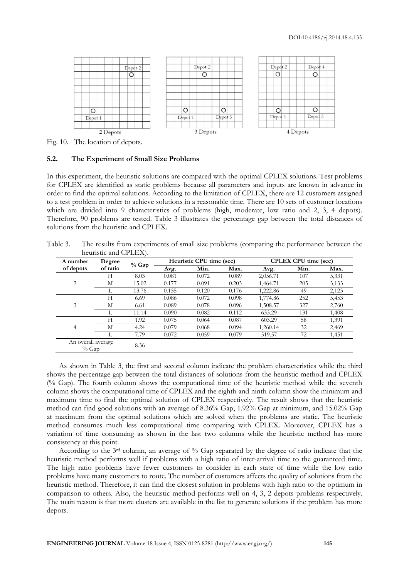

Fig. 10. The location of depots.

#### **5.2. The Experiment of Small Size Problems**

In this experiment, the heuristic solutions are compared with the optimal CPLEX solutions. Test problems for CPLEX are identified as static problems because all parameters and inputs are known in advance in order to find the optimal solutions. According to the limitation of CPLEX, there are 12 customers assigned to a test problem in order to achieve solutions in a reasonable time. There are 10 sets of customer locations which are divided into 9 characteristics of problems (high, moderate, low ratio and 2, 3, 4 depots). Therefore, 90 problems are tested. Table 3 illustrates the percentage gap between the total distances of solutions from the heuristic and CPLEX.

Table 3. The results from experiments of small size problems (comparing the performance between the heuristic and CPLEX).

| A number                      | Degree   |         |       | Heuristic CPU time (sec) |       |          | <b>CPLEX CPU</b> time (sec) |       |
|-------------------------------|----------|---------|-------|--------------------------|-------|----------|-----------------------------|-------|
| of depots                     | of ratio | $%$ Gap | Avg.  | Min.                     | Max.  | Avg.     | Min.                        | Max.  |
|                               | Н        | 8.03    | 0.081 | 0.072                    | 0.089 | 2,056.71 | 107                         | 5,331 |
| 2                             | М        | 15.02   | 0.177 | 0.091                    | 0.203 | 1,464.71 | 205                         | 3,133 |
|                               | L        | 13.76   | 0.155 | 0.120                    | 0.176 | 1,222.86 | 49                          | 2,123 |
|                               | Н        | 6.69    | 0.086 | 0.072                    | 0.098 | 1,774.86 | 252                         | 5,453 |
| 3                             | М        | 6.61    | 0.089 | 0.078                    | 0.096 | 1,508.57 | 327                         | 2,760 |
|                               |          | 11.14   | 0.090 | 0.082                    | 0.112 | 633.29   | 131                         | 1,408 |
|                               | Н        | 1.92    | 0.075 | 0.064                    | 0.087 | 603.29   | 58                          | 1,391 |
| $\overline{4}$                | М        | 4.24    | 0.079 | 0.068                    | 0.094 | 1,260.14 | 32                          | 2,469 |
|                               | L        | 7.79    | 0.072 | 0.059                    | 0.079 | 519.57   | 72                          | 1,451 |
| An overall average<br>$%$ Gap |          | 8.36    |       |                          |       |          |                             |       |

As shown in Table 3, the first and second column indicate the problem characteristics while the third shows the percentage gap between the total distances of solutions from the heuristic method and CPLEX  $(%$  Gap). The fourth column shows the computational time of the heuristic method while the seventh column shows the computational time of CPLEX and the eighth and ninth column show the minimum and maximum time to find the optimal solution of CPLEX respectively. The result shows that the heuristic method can find good solutions with an average of 8.36% Gap, 1.92% Gap at minimum, and 15.02% Gap at maximum from the optimal solutions which are solved when the problems are static. The heuristic method consumes much less computational time comparing with CPLEX. Moreover, CPLEX has a variation of time consuming as shown in the last two columns while the heuristic method has more consistency at this point.

According to the 3rd column, an average of % Gap separated by the degree of ratio indicate that the heuristic method performs well if problems with a high ratio of inter-arrival time to the guaranteed time. The high ratio problems have fewer customers to consider in each state of time while the low ratio problems have many customers to route. The number of customers affects the quality of solutions from the heuristic method. Therefore, it can find the closest solution in problems with high ratio to the optimum in comparison to others. Also, the heuristic method performs well on 4, 3, 2 depots problems respectively. The main reason is that more clusters are available in the list to generate solutions if the problem has more depots.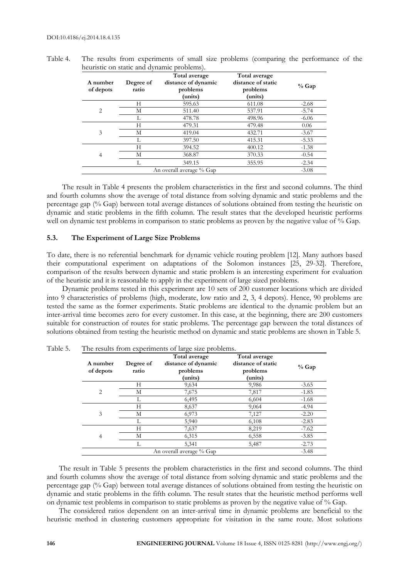| A number<br>of depots | Degree of<br>ratio | Total average<br>distance of dynamic<br>problems<br>(units) | Total average<br>distance of static<br>problems<br>(units) | $%$ Gap |
|-----------------------|--------------------|-------------------------------------------------------------|------------------------------------------------------------|---------|
|                       | H                  | 595.63                                                      | 611.08                                                     | $-2.68$ |
| 2                     | М                  | 511.40                                                      | 537.91                                                     | $-5.74$ |
|                       | L                  | 478.78                                                      | 498.96                                                     | $-6.06$ |
|                       | H                  | 479.31                                                      | 479.48                                                     | 0.06    |
| 3                     | М                  | 419.04                                                      | 432.71                                                     | $-3.67$ |
|                       | L                  | 397.50                                                      | 415.31                                                     | $-5.33$ |
|                       | Н                  | 394.52                                                      | 400.12                                                     | $-1.38$ |
| 4                     | М                  | 368.87                                                      | 370.33                                                     | $-0.54$ |
|                       | L                  | 349.15                                                      | 355.95                                                     | $-2.34$ |
|                       |                    | An overall average % Gap                                    |                                                            | $-3.08$ |

Table 4. The results from experiments of small size problems (comparing the performance of the heuristic on static and dynamic problems).

The result in Table 4 presents the problem characteristics in the first and second columns. The third and fourth columns show the average of total distance from solving dynamic and static problems and the percentage gap (% Gap) between total average distances of solutions obtained from testing the heuristic on dynamic and static problems in the fifth column. The result states that the developed heuristic performs well on dynamic test problems in comparison to static problems as proven by the negative value of % Gap.

#### **5.3. The Experiment of Large Size Problems**

To date, there is no referential benchmark for dynamic vehicle routing problem [12]. Many authors based their computational experiment on adaptations of the Solomon instances [25, 29-32]. Therefore, comparison of the results between dynamic and static problem is an interesting experiment for evaluation of the heuristic and it is reasonable to apply in the experiment of large sized problems.

Dynamic problems tested in this experiment are 10 sets of 200 customer locations which are divided into 9 characteristics of problems (high, moderate, low ratio and 2, 3, 4 depots). Hence, 90 problems are tested the same as the former experiments. Static problems are identical to the dynamic problem but an inter-arrival time becomes zero for every customer. In this case, at the beginning, there are 200 customers suitable for construction of routes for static problems. The percentage gap between the total distances of solutions obtained from testing the heuristic method on dynamic and static problems are shown in Table 5.

| A number<br>of depots | Degree of<br>ratio | Total average<br>distance of dynamic<br>problems<br>(units) | Total average<br>distance of static<br>problems<br>(units) | $%$ Gap |
|-----------------------|--------------------|-------------------------------------------------------------|------------------------------------------------------------|---------|
|                       | Н                  | 9,634                                                       | 9,986                                                      | $-3.65$ |
| $\overline{2}$        | М                  | 7,675                                                       | 7,817                                                      | $-1.85$ |
|                       | L                  | 6,495                                                       | 6,604                                                      | $-1.68$ |
|                       | Н                  | 8,637                                                       | 9,064                                                      | $-4.94$ |
| 3                     | М                  | 6,973                                                       | 7,127                                                      | $-2.20$ |
|                       | L                  | 5,940                                                       | 6,108                                                      | $-2.83$ |
|                       | Н                  | 7,637                                                       | 8,219                                                      | $-7.62$ |
| 4                     | М                  | 6,315                                                       | 6,558                                                      | $-3.85$ |
|                       | L                  | 5,341                                                       | 5,487                                                      | $-2.73$ |
|                       |                    | An overall average % Gap                                    |                                                            | $-3.48$ |

Table 5. The results from experiments of large size problems.

The result in Table 5 presents the problem characteristics in the first and second columns. The third and fourth columns show the average of total distance from solving dynamic and static problems and the percentage gap (% Gap) between total average distances of solutions obtained from testing the heuristic on dynamic and static problems in the fifth column. The result states that the heuristic method performs well on dynamic test problems in comparison to static problems as proven by the negative value of % Gap.

The considered ratios dependent on an inter-arrival time in dynamic problems are beneficial to the heuristic method in clustering customers appropriate for visitation in the same route. Most solutions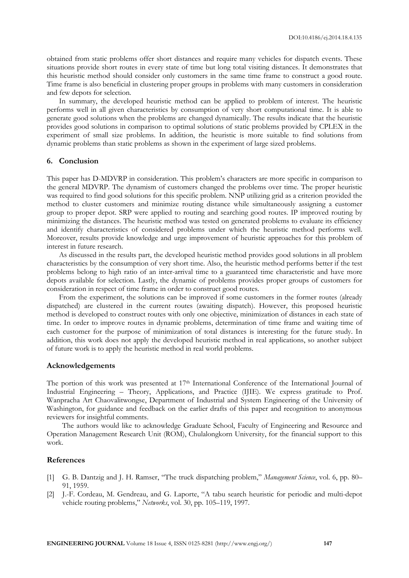obtained from static problems offer short distances and require many vehicles for dispatch events. These situations provide short routes in every state of time but long total visiting distances. It demonstrates that this heuristic method should consider only customers in the same time frame to construct a good route. Time frame is also beneficial in clustering proper groups in problems with many customers in consideration and few depots for selection.

In summary, the developed heuristic method can be applied to problem of interest. The heuristic performs well in all given characteristics by consumption of very short computational time. It is able to generate good solutions when the problems are changed dynamically. The results indicate that the heuristic provides good solutions in comparison to optimal solutions of static problems provided by CPLEX in the experiment of small size problems. In addition, the heuristic is more suitable to find solutions from dynamic problems than static problems as shown in the experiment of large sized problems.

#### **6. Conclusion**

This paper has D-MDVRP in consideration. This problem's characters are more specific in comparison to the general MDVRP. The dynamism of customers changed the problems over time. The proper heuristic was required to find good solutions for this specific problem. NNP utilizing grid as a criterion provided the method to cluster customers and minimize routing distance while simultaneously assigning a customer group to proper depot. SRP were applied to routing and searching good routes. IP improved routing by minimizing the distances. The heuristic method was tested on generated problems to evaluate its efficiency and identify characteristics of considered problems under which the heuristic method performs well. Moreover, results provide knowledge and urge improvement of heuristic approaches for this problem of interest in future research.

As discussed in the results part, the developed heuristic method provides good solutions in all problem characteristics by the consumption of very short time. Also, the heuristic method performs better if the test problems belong to high ratio of an inter-arrival time to a guaranteed time characteristic and have more depots available for selection. Lastly, the dynamic of problems provides proper groups of customers for consideration in respect of time frame in order to construct good routes.

From the experiment, the solutions can be improved if some customers in the former routes (already dispatched) are clustered in the current routes (awaiting dispatch). However, this proposed heuristic method is developed to construct routes with only one objective, minimization of distances in each state of time. In order to improve routes in dynamic problems, determination of time frame and waiting time of each customer for the purpose of minimization of total distances is interesting for the future study. In addition, this work does not apply the developed heuristic method in real applications, so another subject of future work is to apply the heuristic method in real world problems.

#### **Acknowledgements**

The portion of this work was presented at 17<sup>th</sup> International Conference of the International Journal of Industrial Engineering – Theory, Applications, and Practice (IJIE). We express gratitude to Prof. Wanpracha Art Chaovalitwongse, Department of Industrial and System Engineering of the University of Washington, for guidance and feedback on the earlier drafts of this paper and recognition to anonymous reviewers for insightful comments.

The authors would like to acknowledge Graduate School, Faculty of Engineering and Resource and Operation Management Research Unit (ROM), Chulalongkorn University, for the financial support to this work.

#### **References**

- [1] G. B. Dantzig and J. H. Ramser, "The truck dispatching problem," *Management Science*, vol. 6, pp. 80– 91, 1959.
- [2] J.-F. Cordeau, M. Gendreau, and G. Laporte, "A tabu search heuristic for periodic and multi-depot vehicle routing problems," *Networks*, vol. 30, pp. 105–119, 1997.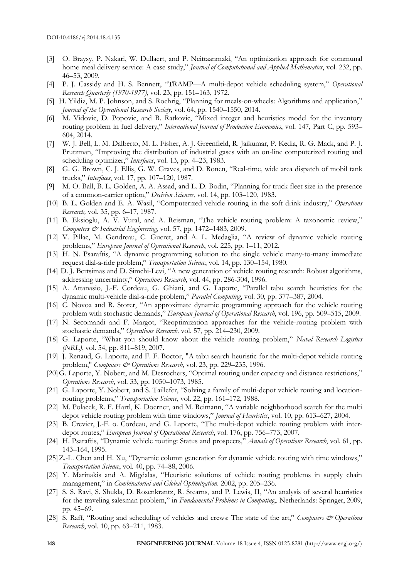- [3] O. Braysy, P. Nakari, W. Dullaert, and P. Neittaanmaki, "An optimization approach for communal home meal delivery service: A case study," *Journal of Computational and Applied Mathematics*, vol. 232, pp. 46–53, 2009.
- [4] P. J. Cassidy and H. S. Bennett, "TRAMP—A multi-depot vehicle scheduling system," *Operational Research Quarterly (1970-1977)*, vol. 23, pp. 151–163, 1972.
- [5] H. Yildiz, M. P. Johnson, and S. Roehrig, "Planning for meals-on-wheels: Algorithms and application," *Journal of the Operational Research Society*, vol. 64, pp. 1540–1550, 2014.
- [6] M. Vidovic, D. Popovic, and B. Ratkovic, "Mixed integer and heuristics model for the inventory routing problem in fuel delivery," *International Journal of Production Economics*, vol. 147, Part C, pp. 593– 604, 2014.
- [7] W. J. Bell, L. M. Dalberto, M. L. Fisher, A. J. Greenfield, R. Jaikumar, P. Kedia, R. G. Mack, and P. J. Prutzman, "Improving the distribution of industrial gases with an on-line computerized routing and scheduling optimizer," *Interfaces*, vol. 13, pp. 4–23, 1983.
- [8] G. G. Brown, C. J. Ellis, G. W. Graves, and D. Ronen, "Real-time, wide area dispatch of mobil tank trucks," *Interfaces*, vol. 17, pp. 107–120, 1987.
- [9] M. O. Ball, B. L. Golden, A. A. Assad, and L. D. Bodin, "Planning for truck fleet size in the presence of a common-carrier option," *Decision Sciences*, vol. 14, pp. 103–120, 1983.
- [10] B. L. Golden and E. A. Wasil, "Computerized vehicle routing in the soft drink industry," *Operations Research,* vol. 35, pp. 6–17, 1987.
- [11] B. Eksioglu, A. V. Vural, and A. Reisman, "The vehicle routing problem: A taxonomic review," *Computers & Industrial Engineering*, vol. 57, pp. 1472–1483, 2009.
- [12] V. Pillac, M. Gendreau, C. Gueret, and A. L. Medaglia, "A review of dynamic vehicle routing problems," *European Journal of Operational Research*, vol. 225, pp. 1–11, 2012.
- [13] H. N. Psaraftis, "A dynamic programming solution to the single vehicle many-to-many immediate request dial-a-ride problem," *Transportation Science*, vol. 14, pp. 130–154, 1980.
- [14] D. J. Bertsimas and D. Simchi-Levi, "A new generation of vehicle routing research: Robust algorithms, addressing uncertainty," *Operations Research*, vol. 44, pp. 286-304, 1996.
- [15] A. Attanasio, J.-F. Cordeau, G. Ghiani, and G. Laporte, "Parallel tabu search heuristics for the dynamic multi-vehicle dial-a-ride problem," *Parallel Computing*, vol. 30, pp. 377–387, 2004.
- [16] C. Novoa and R. Storer, "An approximate dynamic programming approach for the vehicle routing problem with stochastic demands," *European Journal of Operational Research*, vol. 196, pp. 509–515, 2009.
- [17] N. Secomandi and F. Margot, "Reoptimization approaches for the vehicle-routing problem with stochastic demands," *Operations Research,* vol. 57, pp. 214–230, 2009.
- [18] G. Laporte, "What you should know about the vehicle routing problem," *Naval Research Logistics (NRL)*, vol. 54, pp. 811–819, 2007.
- [19] J. Renaud, G. Laporte, and F. F. Boctor, "A tabu search heuristic for the multi-depot vehicle routing problem," *Computers & Operations Research*, vol. 23, pp. 229–235, 1996.
- [20]G. Laporte, Y. Nobert, and M. Desrochers, "Optimal routing under capacity and distance restrictions," *Operations Research*, vol. 33, pp. 1050–1073, 1985.
- [21] G. Laporte, Y. Nobert, and S. Taillefer, "Solving a family of multi-depot vehicle routing and locationrouting problems," *Transportation Science*, vol. 22, pp. 161–172, 1988.
- [22] M. Polacek, R. F. Hartl, K. Doerner, and M. Reimann, "A variable neighborhood search for the multi depot vehicle routing problem with time windows," *Journal of Heuristics*, vol. 10, pp. 613–627, 2004.
- [23] B. Crevier, J.-F. o. Cordeau, and G. Laporte, "The multi-depot vehicle routing problem with interdepot routes," *European Journal of Operational Research*, vol. 176, pp. 756–773, 2007.
- [24] H. Psaraftis, "Dynamic vehicle routing: Status and prospects," *Annals of Operations Research*, vol. 61, pp. 143–164, 1995.
- [25]Z.-L. Chen and H. Xu, "Dynamic column generation for dynamic vehicle routing with time windows," *Transportation Science*, vol. 40, pp. 74–88, 2006.
- [26] Y. Marinakis and A. Migdalas, "Heuristic solutions of vehicle routing problems in supply chain management," in *Combinatorial and Global Optimization*. 2002, pp. 205–236.
- [27] S. S. Ravi, S. Shukla, D. Rosenkrantz, R. Stearns, and P. Lewis, II, "An analysis of several heuristics for the traveling salesman problem," in *Fundamental Problems in Computing*,. Netherlands: Springer, 2009, pp. 45–69.
- [28] S. Raff, "Routing and scheduling of vehicles and crews: The state of the art," *Computers & Operations Research*, vol. 10, pp. 63–211, 1983.